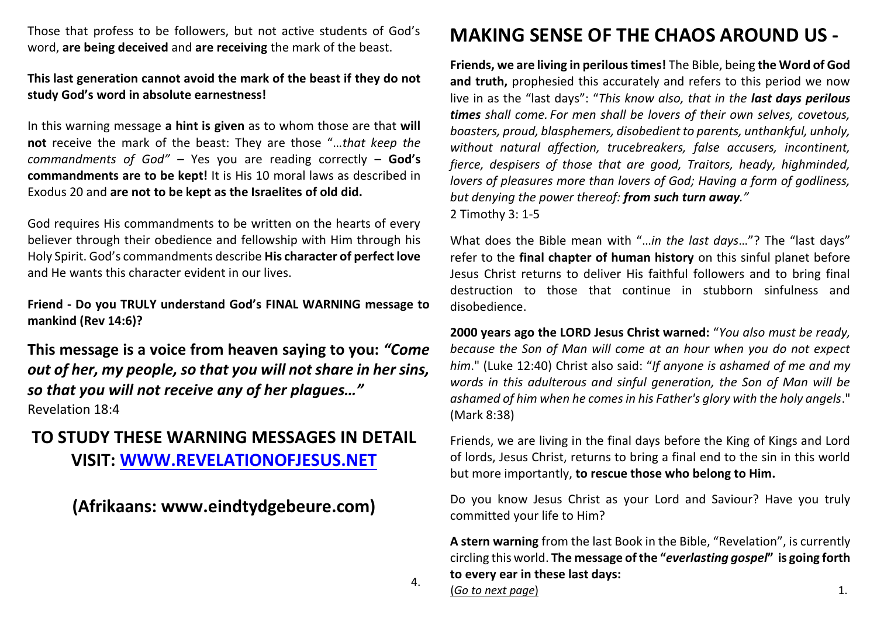Those that profess to be followers, but not active students of God's word, **are being deceived** and **are receiving** the mark of the beast.

## **This last generation cannot avoid the mark of the beast if they do not study God's word in absolute earnestness!**

In this warning message **a hint is given** as to whom those are that **will not** receive the mark of the beast: They are those "…*that keep the commandments of God" –* Yes you are reading correctly – **God's commandments are to be kept!** It is His 10 moral laws as described in Exodus 20 and **are not to be kept as the Israelites of old did.**

God requires His commandments to be written on the hearts of every believer through their obedience and fellowship with Him through his Holy Spirit. God's commandments describe **His character of perfect love** and He wants this character evident in our lives.

**Friend - Do you TRULY understand God's FINAL WARNING message to mankind (Rev 14:6)?** 

**This message is a voice from heaven saying to you:** *"Come out of her, my people, so that you will not share in her sins, so that you will not receive any of her plagues…"*  Revelation 18:4

## **TO STUDY THESE WARNING MESSAGES IN DETAIL VISIT: [WWW.REVELATIONOFJESUS.NET](http://www.revelationofjesus.net/)**

**(Afrikaans: www.eindtydgebeure.com)**

## **MAKING SENSE OF THE CHAOS AROUND US -**

**Friends, we are living in perilous times!** The Bible, being **the Word of God and truth,** prophesied this accurately and refers to this period we now live in as the "last days": "*This know also, that in the last days perilous times shall come. For men shall be lovers of their own selves, covetous, boasters, proud, blasphemers, disobedient to parents, unthankful, unholy, without natural affection, trucebreakers, false accusers, incontinent, fierce, despisers of those that are good, Traitors, heady, highminded, lovers of pleasures more than lovers of God; Having a form of godliness, but denying the power thereof: from such turn away."*  2 Timothy 3: 1-5

What does the Bible mean with "…*in the last days*…"? The "last days" refer to the **final chapter of human history** on this sinful planet before Jesus Christ returns to deliver His faithful followers and to bring final destruction to those that continue in stubborn sinfulness and disobedience.

**2000 years ago the LORD Jesus Christ warned:** "*You also must be ready, because the Son of Man will come at an hour when you do not expect him*." (Luke 12:40) Christ also said: "*If anyone is ashamed of me and my words in this adulterous and sinful generation, the Son of Man will be ashamed of him when he comes in his Father's glory with the holy angels*." (Mark 8:38)

Friends, we are living in the final days before the King of Kings and Lord of lords, Jesus Christ, returns to bring a final end to the sin in this world but more importantly, **to rescue those who belong to Him.**

Do you know Jesus Christ as your Lord and Saviour? Have you truly committed your life to Him?

**A stern warning** from the last Book in the Bible, "Revelation", is currently circling this world. **The message of the "***everlasting gospel***" is going forth to every ear in these last days:**

(*Go to next page*) 1.

4.